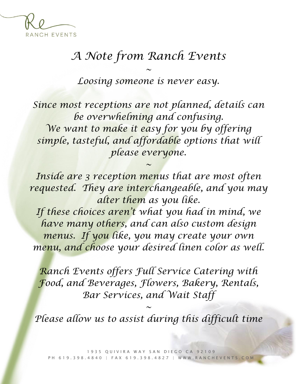

## *A Note from Ranch Events*

*Loosing someone is never easy.* 

*~*

*Since most receptions are not planned, details can be overwhelming and confusing. We want to make it easy for you by offering simple, tasteful, and affordable options that will please everyone.*

*Inside are 3 reception menus that are most often requested. They are interchangeable, and you may alter them as you like.* 

*~*

*If these choices aren't what you had in mind, we have many others, and can also custom design menus. If you like, you may create your own menu, and choose your desired linen color as well.*

*Ranch Events offers Full Service Catering with Food, and Beverages, Flowers, Bakery, Rentals, Bar Services, and Wait Staff*

*Please allow us to assist during this difficult time*

*~*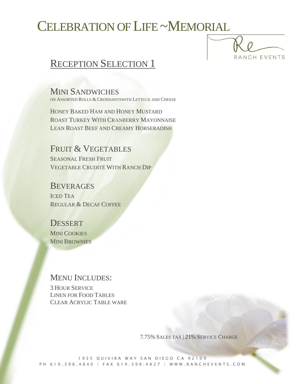## CELEBRATION OF LIFE ~MEMORIAL



### RECEPTION SELECTION 1

MINI SANDWICHES ON ASSORTED ROLLS & CROISSANTSWITH LETTUCE AND CHEESE

HONEY BAKED HAM AND HONEY MUSTARD ROAST TURKEY WITH CRANBERRY MAYONNAISE LEAN ROAST BEEF AND CREAMY HORSERADISH

FRUIT & VEGETABLES SEASONAL FRESH FRUIT VEGETABLE CRUDITÉ WITH RANCH DIP

**BEVERAGES** ICED TEA REGULAR & DECAF COFFEE

**DESSERT** MINI COOKIES **MINI BROWNIES** 

#### MENU INCLUDES:

3 HOUR SERVICE LINEN FOR FOOD TABLES CLEAR ACRYLIC TABLE WARE

7.75% SALES TAX | 21% SERVICE CHARGE

1935 QUIVIRA WAY SAN DIEGO CA 92109 PH 619.398.4840 | FAX 619.398.4827 | WWW.RANCHEVENTS.COM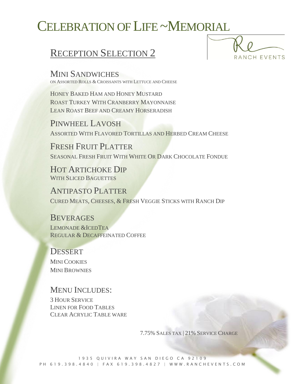# CELEBRATION OF LIFE ~MEMORIAL

### RECEPTION SELECTION 2



MINI SANDWICHES ON ASSORTED ROLLS & CROISSANTS WITH LETTUCE AND CHEESE

HONEY BAKED HAM AND HONEY MUSTARD ROAST TURKEY WITH CRANBERRY MAYONNAISE LEAN ROAST BEEF AND CREAMY HORSERADISH

PINWHEEL LAVOSH ASSORTED WITH FLAVORED TORTILLAS AND HERBED CREAM CHEESE

FRESH FRUIT PLATTER SEASONAL FRESH FRUIT WITH WHITE OR DARK CHOCOLATE FONDUE

HOT ARTICHOKE DIP WITH SLICED BAGUETTES

ANTIPASTO PLATTER CURED MEATS, CHEESES, & FRESH VEGGIE STICKS WITH RANCH DIP

#### **BEVERAGES**

LEMONADE &ICEDTEA REGULAR & DECAFFEINATED COFFEE

#### **DESSERT**

MINI COOKIES MINI BROWNIES

#### MENU INCLUDES:

3 HOUR SERVICE LINEN FOR FOOD TABLES CLEAR ACRYLIC TABLE WARE

7.75% SALES TAX | 21% SERVICE CHARGE

1935 OUIVIRA WAY SAN DIEGO CA 92109 PH 619.398.4840 | FAX 619.398.4827 | WWW.RANCHEVENTS.COM